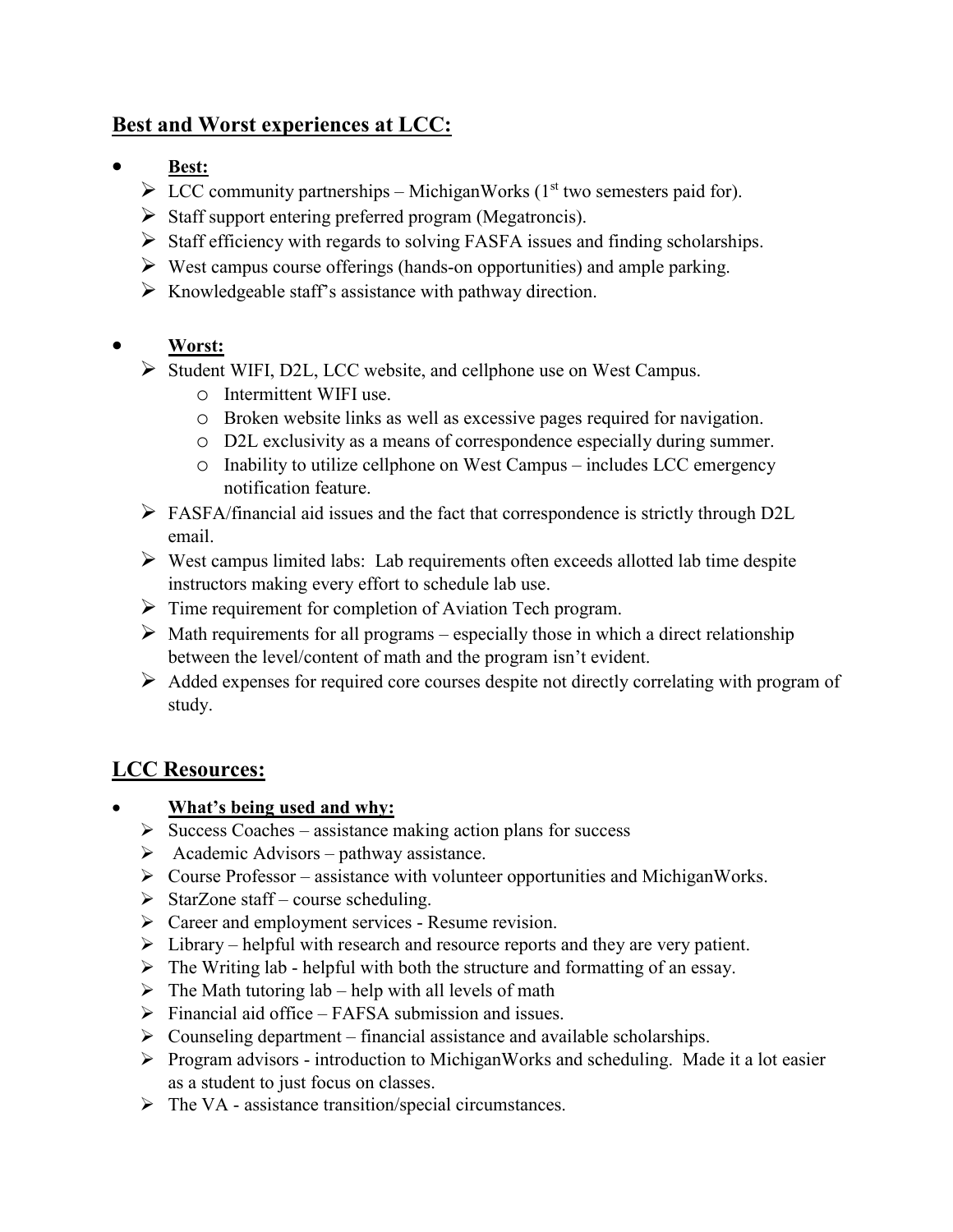## **Best and Worst experiences at LCC:**

- **Best:**
	- $\triangleright$  LCC community partnerships MichiganWorks (1<sup>st</sup> two semesters paid for).
	- $\triangleright$  Staff support entering preferred program (Megatroncis).
	- $\triangleright$  Staff efficiency with regards to solving FASFA issues and finding scholarships.
	- $\triangleright$  West campus course offerings (hands-on opportunities) and ample parking.
	- $\triangleright$  Knowledgeable staff's assistance with pathway direction.

### • **Worst:**

- Student WIFI, D2L, LCC website, and cellphone use on West Campus.
	- o Intermittent WIFI use.
	- o Broken website links as well as excessive pages required for navigation.
	- o D2L exclusivity as a means of correspondence especially during summer.
	- o Inability to utilize cellphone on West Campus includes LCC emergency notification feature.
- FASFA/financial aid issues and the fact that correspondence is strictly through D2L email.
- $\triangleright$  West campus limited labs: Lab requirements often exceeds allotted lab time despite instructors making every effort to schedule lab use.
- $\triangleright$  Time requirement for completion of Aviation Tech program.
- $\triangleright$  Math requirements for all programs especially those in which a direct relationship between the level/content of math and the program isn't evident.
- $\triangleright$  Added expenses for required core courses despite not directly correlating with program of study.

# **LCC Resources:**

- **What's being used and why:** 
	- $\triangleright$  Success Coaches assistance making action plans for success
	- $\triangleright$  Academic Advisors pathway assistance.
	- $\triangleright$  Course Professor assistance with volunteer opportunities and MichiganWorks.
	- $\triangleright$  StarZone staff course scheduling.
	- > Career and employment services Resume revision.
	- $\triangleright$  Library helpful with research and resource reports and they are very patient.
	- $\triangleright$  The Writing lab helpful with both the structure and formatting of an essay.
	- $\triangleright$  The Math tutoring lab help with all levels of math
	- $\triangleright$  Financial aid office FAFSA submission and issues.
	- $\triangleright$  Counseling department financial assistance and available scholarships.
	- Program advisors introduction to MichiganWorks and scheduling. Made it a lot easier as a student to just focus on classes.
	- $\triangleright$  The VA assistance transition/special circumstances.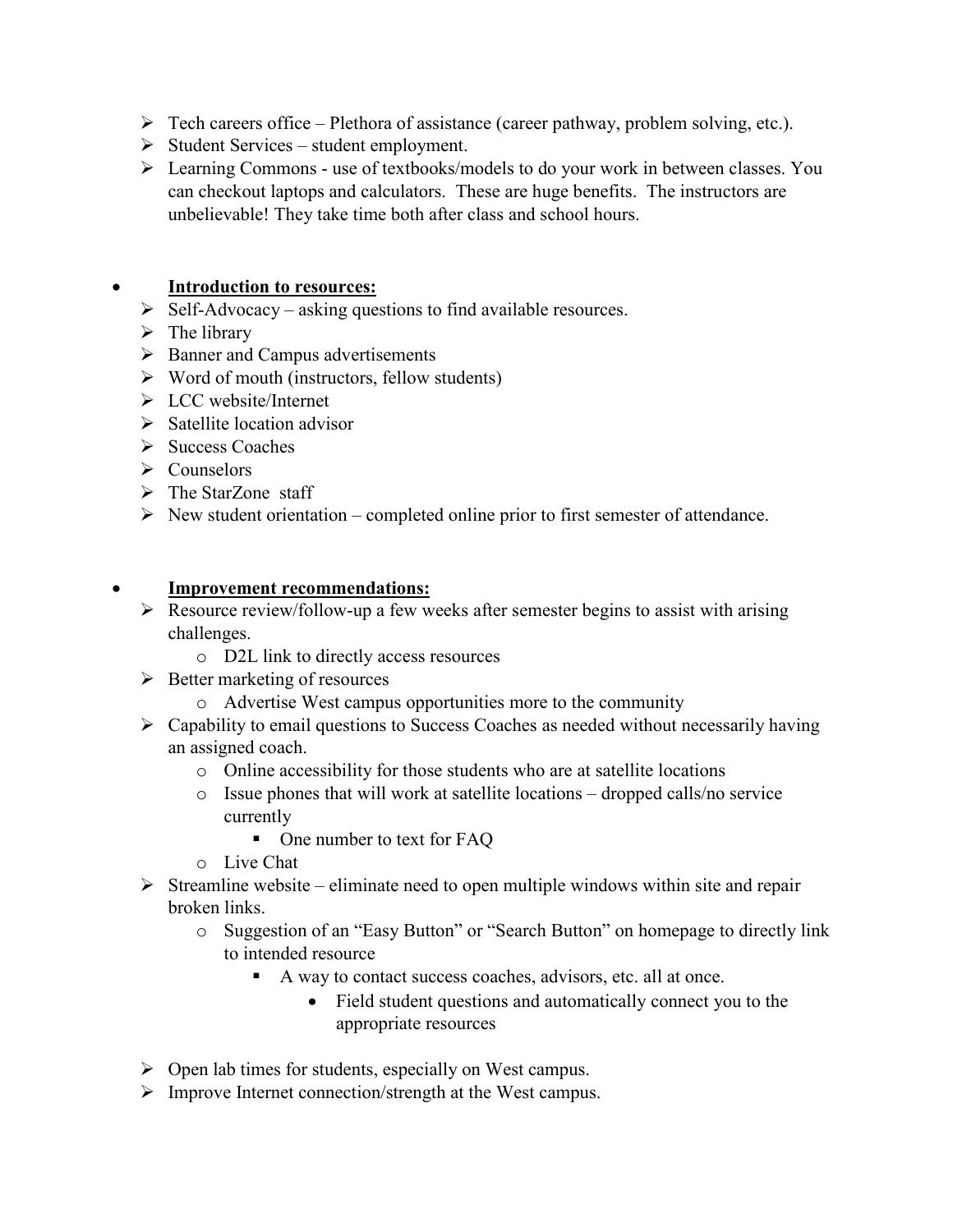- $\triangleright$  Tech careers office Plethora of assistance (career pathway, problem solving, etc.).
- $\triangleright$  Student Services student employment.
- Learning Commons use of textbooks/models to do your work in between classes. You can checkout laptops and calculators. These are huge benefits. The instructors are unbelievable! They take time both after class and school hours.

#### • **Introduction to resources:**

- $\triangleright$  Self-Advocacy asking questions to find available resources.
- $\triangleright$  The library
- $\triangleright$  Banner and Campus advertisements
- $\triangleright$  Word of mouth (instructors, fellow students)
- LCC website/Internet
- $\triangleright$  Satellite location advisor
- $\triangleright$  Success Coaches
- $\triangleright$  Counselors
- $\triangleright$  The StarZone staff
- $\triangleright$  New student orientation completed online prior to first semester of attendance.

#### • **Improvement recommendations:**

- $\triangleright$  Resource review/follow-up a few weeks after semester begins to assist with arising challenges.
	- o D2L link to directly access resources
- $\triangleright$  Better marketing of resources
	- o Advertise West campus opportunities more to the community
- $\triangleright$  Capability to email questions to Success Coaches as needed without necessarily having an assigned coach.
	- o Online accessibility for those students who are at satellite locations
	- o Issue phones that will work at satellite locations dropped calls/no service currently
		- One number to text for FAQ
	- o Live Chat
- $\triangleright$  Streamline website eliminate need to open multiple windows within site and repair broken links.
	- o Suggestion of an "Easy Button" or "Search Button" on homepage to directly link to intended resource
		- A way to contact success coaches, advisors, etc. all at once.
			- Field student questions and automatically connect you to the appropriate resources
- $\triangleright$  Open lab times for students, especially on West campus.
- $\triangleright$  Improve Internet connection/strength at the West campus.